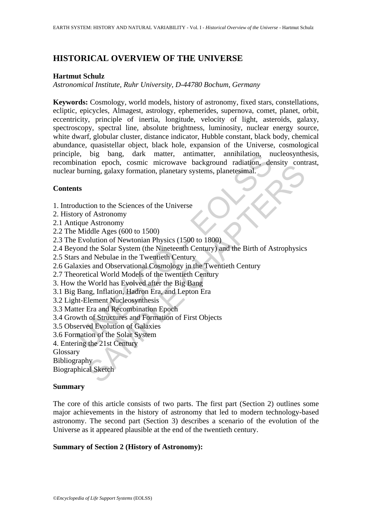# **HISTORICAL OVERVIEW OF THE UNIVERSE**

#### **Hartmut Schulz**

*Astronomical Institute, Ruhr University, D-44780 Bochum, Germany* 

e, big bang, dark matter, antimatter, annihilation, n<br>ination epoch, cosmic microwave background radiation, de<br>burning, galaxy formation, planetary systems, planetesimal.<br>ts<br>ts<br>the during galaxy formation, planetary system From the Science of the Universe<br>
Thing, galaxy formation, planetary systems, planetary<br>
ring, galaxy formation, planetary systems, planetary<br>
of Astronomy<br>
Astronomy<br>
Astronomy<br>
the Solar System (the Nineteenth Century) a **Keywords:** Cosmology, world models, history of astronomy, fixed stars, constellations, ecliptic, epicycles, Almagest, astrology, ephemerides, supernova, comet, planet, orbit, eccentricity, principle of inertia, longitude, velocity of light, asteroids, galaxy, spectroscopy, spectral line, absolute brightness, luminosity, nuclear energy source, white dwarf, globular cluster, distance indicator, Hubble constant, black body, chemical abundance, quasistellar object, black hole, expansion of the Universe, cosmological principle, big bang, dark matter, antimatter, annihilation, nucleosynthesis, recombination epoch, cosmic microwave background radiation, density contrast, nuclear burning, galaxy formation, planetary systems, planetesimal.

## **Contents**

- 1. Introduction to the Sciences of the Universe
- 2. History of Astronomy
- 2.1 Antique Astronomy
- 2.2 The Middle Ages (600 to 1500)
- 2.3 The Evolution of Newtonian Physics (1500 to 1800)
- 2.4 Beyond the Solar System (the Nineteenth Century) and the Birth of Astrophysics
- 2.5 Stars and Nebulae in the Twentieth Century
- 2.6 Galaxies and Observational Cosmology in the Twentieth Century
- 2.7 Theoretical World Models of the twentieth Century
- 3. How the World has Evolved after the Big Bang
- 3.1 Big Bang, Inflation, Hadron Era, and Lepton Era
- 3.2 Light-Element Nucleosynthesis
- 3.3 Matter Era and Recombination Epoch
- 3.4 Growth of Structures and Formation of First Objects
- 3.5 Observed Evolution of Galaxies
- 3.6 Formation of the Solar System
- 4. Entering the 21st Century
- Glossary

Bibliography

Biographical Sketch

#### **Summary**

The core of this article consists of two parts. The first part (Section 2) outlines some major achievements in the history of astronomy that led to modern technology-based astronomy. The second part (Section 3) describes a scenario of the evolution of the Universe as it appeared plausible at the end of the twentieth century.

### **Summary of Section 2 (History of Astronomy):**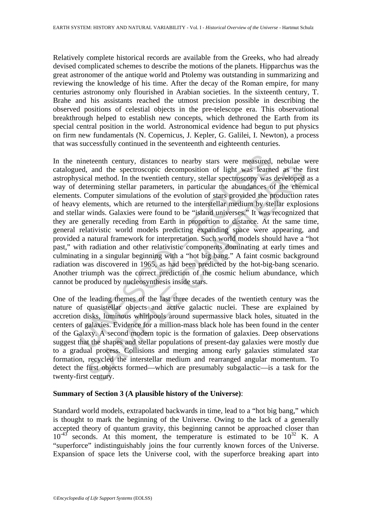Relatively complete historical records are available from the Greeks, who had already devised complicated schemes to describe the motions of the planets. Hipparchus was the great astronomer of the antique world and Ptolemy was outstanding in summarizing and reviewing the knowledge of his time. After the decay of the Roman empire, for many centuries astronomy only flourished in Arabian societies. In the sixteenth century, T. Brahe and his assistants reached the utmost precision possible in describing the observed positions of celestial objects in the pre-telescope era. This observational breakthrough helped to establish new concepts, which dethroned the Earth from its special central position in the world. Astronomical evidence had begun to put physics on firm new fundamentals (N. Copernicus, J. Kepler, G. Galilei, I. Newton), a process that was successfully continued in the seventeenth and eighteenth centuries.

nineteenth century, distances to nearby stars were measured,<br>ned, and the spectroscopic decomposition of light was learned<br>sical method. In the twentieth century, stellar spectroscopy was<br>determining stellar parameters, in , and the spectroscopic decomposition of light was learned as the cal method. In the twentieth century, stellar spectroscopy was developed termining stellar parameters, in particular the abundances of the element computer In the nineteenth century, distances to nearby stars were measured, nebulae were catalogued, and the spectroscopic decomposition of light was learned as the first astrophysical method. In the twentieth century, stellar spectroscopy was developed as a way of determining stellar parameters, in particular the abundances of the chemical elements. Computer simulations of the evolution of stars provided the production rates of heavy elements, which are returned to the interstellar medium by stellar explosions and stellar winds. Galaxies were found to be "island universes." It was recognized that they are generally receding from Earth in proportion to distance. At the same time, general relativistic world models predicting expanding space were appearing, and provided a natural framework for interpretation. Such world models should have a "hot past," with radiation and other relativistic components dominating at early times and culminating in a singular beginning with a "hot big bang." A faint cosmic background radiation was discovered in 1965, as had been predicted by the hot-big-bang scenario. Another triumph was the correct prediction of the cosmic helium abundance, which cannot be produced by nucleosynthesis inside stars.

One of the leading themes of the last three decades of the twentieth century was the nature of quasistellar objects and active galactic nuclei. These are explained by accretion disks, luminous whirlpools around supermassive black holes, situated in the centers of galaxies. Evidence for a million-mass black hole has been found in the center of the Galaxy. A second modern topic is the formation of galaxies. Deep observations suggest that the shapes and stellar populations of present-day galaxies were mostly due to a gradual process. Collisions and merging among early galaxies stimulated star formation, recycled the interstellar medium and rearranged angular momentum. To detect the first objects formed—which are presumably subgalactic—is a task for the twenty-first century.

## **Summary of Section 3 (A plausible history of the Universe)**:

Standard world models, extrapolated backwards in time, lead to a "hot big bang," which is thought to mark the beginning of the Universe. Owing to the lack of a generally accepted theory of quantum gravity, this beginning cannot be approached closer than  $10^{-43}$  seconds. At this moment, the temperature is estimated to be  $10^{32}$  K. A "superforce" indistinguishably joins the four currently known forces of the Universe. Expansion of space lets the Universe cool, with the superforce breaking apart into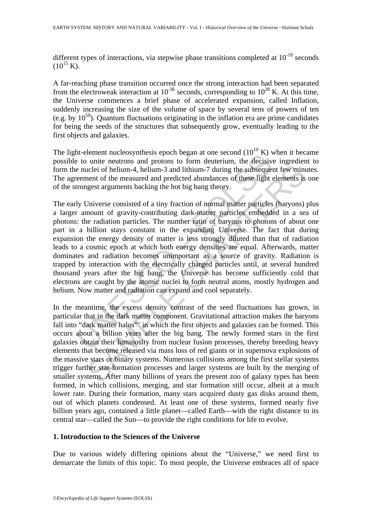different types of interactions, via stepwise phase transitions completed at  $10^{-10}$  seconds  $(10^{15} \text{ K})$ .

A far-reaching phase transition occurred once the strong interaction had been separated from the electroweak interaction at  $10^{-36}$  seconds, corresponding to  $10^{28}$  K. At this time, the Universe commences a brief phase of accelerated expansion, called Inflation, suddenly increasing the size of the volume of space by several tens of powers of ten (e.g. by  $10^{50}$ ). Quantum fluctuations originating in the inflation era are prime candidates for being the seeds of the structures that subsequently grow, eventually leading to the first objects and galaxies.

The light-element nucleosynthesis epoch began at one second  $(10^{10} \text{ K})$  when it became possible to unite neutrons and protons to form deuterium, the decisive ingredient to form the nuclei of helium-4, helium-3 and lithium-7 during the subsequent few minutes. The agreement of the measured and predicted abundances of these light elements is one of the strongest arguments backing the hot big bang theory.

is the constrained increasing spotting of the second (10 K)<br>
2: to unite neutrons and protons to form deuterium, the decisive<br>
2: to unite neutrons and protons to form deuterium, the decisive<br>
2: to unite neutrons and prot icidel of helium-4, helium-3 and lithium-7 during the subsequent few minnent of the measured and predicted abundances of these light elements is gest arguments backing the hot big bang theory.<br>
Jniverse consisted of a tiny The early Universe consisted of a tiny fraction of normal matter particles (baryons) plus a larger amount of gravity-contributing dark-matter particles embedded in a sea of photons: the radiation particles. The number ratio of baryons to photons of about one part in a billion stays constant in the expanding Universe. The fact that during expansion the energy density of matter is less strongly diluted than that of radiation leads to a cosmic epoch at which both energy densities are equal. Afterwards, matter dominates and radiation becomes unimportant as a source of gravity. Radiation is trapped by interaction with the electrically charged particles until, at several hundred thousand years after the big bang, the Universe has become sufficiently cold that electrons are caught by the atomic nuclei to form neutral atoms, mostly hydrogen and helium. Now matter and radiation can expand and cool separately.

In the meantime, the excess density contrast of the seed fluctuations has grown, in particular that in the dark matter component. Gravitational attraction makes the baryons fall into "dark matter halos" in which the first objects and galaxies can be formed. This occurs about a billion years after the big bang. The newly formed stars in the first galaxies obtain their luminosity from nuclear fusion processes, thereby breeding heavy elements that become released via mass loss of red giants or in supernova explosions of the massive stars or binary systems. Numerous collisions among the first stellar systems trigger further star-formation processes and larger systems are built by the merging of smaller systems. After many billions of years the present zoo of galaxy types has been formed, in which collisions, merging, and star formation still occur, albeit at a much lower rate. During their formation, many stars acquired dusty gas disks around them, out of which planets condensed. At least one of these systems, formed nearly five billion years ago, contained a little planet—called Earth—with the right distance to its central star—called the Sun—to provide the right conditions for life to evolve.

## **1. Introduction to the Sciences of the Universe**

Due to various widely differing opinions about the "Universe," we need first to demarcate the limits of this topic. To most people, the Universe embraces all of space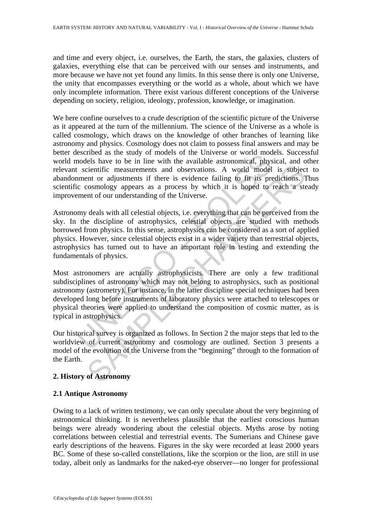and time and every object, i.e. ourselves, the Earth, the stars, the galaxies, clusters of galaxies, everything else that can be perceived with our senses and instruments, and more because we have not yet found any limits. In this sense there is only one Universe, the unity that encompasses everything or the world as a whole, about which we have only incomplete information. There exist various different conceptions of the Universe depending on society, religion, ideology, profession, knowledge, or imagination.

We here confine ourselves to a crude description of the scientific picture of the Universe as it appeared at the turn of the millennium. The science of the Universe as a whole is called cosmology, which draws on the knowledge of other branches of learning like astronomy and physics. Cosmology does not claim to possess final answers and may be better described as the study of models of the Universe or world models. Successful world models have to be in line with the available astronomical, physical, and other relevant scientific measurements and observations. A world model is subject to abandonment or adjustments if there is evidence failing to fit its predictions. Thus scientific cosmology appears as a process by which it is hoped to reach a steady improvement of our understanding of the Universe.

Secured as the stuay of miouels on the Chiverse of word models<br>and the streaments and observations. A world model<br>in the cientific measurements and observations. A world model<br>intent or adjustments if there is evidence fai Example the measurements and observations. A world model is subjection<br>tifer measurements and observations. A world model is subjectned to reach<br>and of the service failing to fit is predictions. It comology appears as a pr Astronomy deals with all celestial objects, i.e. everything that can be perceived from the sky. In the discipline of astrophysics, celestial objects are studied with methods borrowed from physics. In this sense, astrophysics can be considered as a sort of applied physics. However, since celestial objects exist in a wider variety than terrestrial objects, astrophysics has turned out to have an important role in testing and extending the fundamentals of physics.

Most astronomers are actually astrophysicists. There are only a few traditional subdisciplines of astronomy which may not belong to astrophysics, such as positional astronomy (astrometry). For instance, in the latter discipline special techniques had been developed long before instruments of laboratory physics were attached to telescopes or physical theories were applied to understand the composition of cosmic matter, as is typical in astrophysics.

Our historical survey is organized as follows. In Section 2 the major steps that led to the worldview of current astronomy and cosmology are outlined. Section 3 presents a model of the evolution of the Universe from the "beginning" through to the formation of the Earth.

## **2. History of Astronomy**

## **2.1 Antique Astronomy**

Owing to a lack of written testimony, we can only speculate about the very beginning of astronomical thinking. It is nevertheless plausible that the earliest conscious human beings were already wondering about the celestial objects. Myths arose by noting correlations between celestial and terrestrial events. The Sumerians and Chinese gave early descriptions of the heavens. Figures in the sky were recorded at least 2000 years BC. Some of these so-called constellations, like the scorpion or the lion, are still in use today, albeit only as landmarks for the naked-eye observer—no longer for professional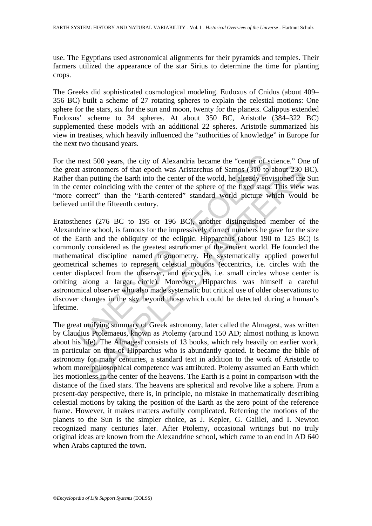use. The Egyptians used astronomical alignments for their pyramids and temples. Their farmers utilized the appearance of the star Sirius to determine the time for planting crops.

The Greeks did sophisticated cosmological modeling. Eudoxus of Cnidus (about 409– 356 BC) built a scheme of 27 rotating spheres to explain the celestial motions: One sphere for the stars, six for the sun and moon, twenty for the planets. Calippus extended Eudoxus' scheme to 34 spheres. At about 350 BC, Aristotle (384–322 BC) supplemented these models with an additional 22 spheres. Aristotle summarized his view in treatises, which heavily influenced the "authorities of knowledge" in Europe for the next two thousand years.

For the next 500 years, the city of Alexandria became the "center of science." One of the great astronomers of that epoch was Aristarchus of Samos (310 to about 230 BC). Rather than putting the Earth into the center of the world, he already envisioned the Sun in the center coinciding with the center of the sphere of the fixed stars. This view was "more correct" than the "Earth-centered" standard world picture which would be believed until the fifteenth century.

next 500 years, the city of Alexandria became the "center of sc<br>to at astronomers of that epoch was Aristarchus of Samos (310 to a<br>than putting the Earth into the center of the world, he already envi<br>enter coinciding with stronomers of that epoch was Aristarchus of Samos (310 to about 230 in putting the Earth into the center of the world, he already envisioned the recording with the center of the sphere of the fixed stars. This view recordi Eratosthenes (276 BC to 195 or 196 BC), another distinguished member of the Alexandrine school, is famous for the impressively correct numbers he gave for the size of the Earth and the obliquity of the ecliptic. Hipparchus (about 190 to 125 BC) is commonly considered as the greatest astronomer of the ancient world. He founded the mathematical discipline named trigonometry. He systematically applied powerful geometrical schemes to represent celestial motions (eccentrics, i.e. circles with the center displaced from the observer, and epicycles, i.e. small circles whose center is orbiting along a larger circle). Moreover, Hipparchus was himself a careful astronomical observer who also made systematic but critical use of older observations to discover changes in the sky beyond those which could be detected during a human's lifetime.

The great unifying summary of Greek astronomy, later called the Almagest, was written by Claudius Ptolemaeus, known as Ptolemy (around 150 AD; almost nothing is known about his life). The Almagest consists of 13 books, which rely heavily on earlier work, in particular on that of Hipparchus who is abundantly quoted. It became the bible of astronomy for many centuries, a standard text in addition to the work of Aristotle to whom more philosophical competence was attributed. Ptolemy assumed an Earth which lies motionless in the center of the heavens. The Earth is a point in comparison with the distance of the fixed stars. The heavens are spherical and revolve like a sphere. From a present-day perspective, there is, in principle, no mistake in mathematically describing celestial motions by taking the position of the Earth as the zero point of the reference frame. However, it makes matters awfully complicated. Referring the motions of the planets to the Sun is the simpler choice, as J. Kepler, G. Galilei, and I. Newton recognized many centuries later. After Ptolemy, occasional writings but no truly original ideas are known from the Alexandrine school, which came to an end in AD 640 when Arabs captured the town.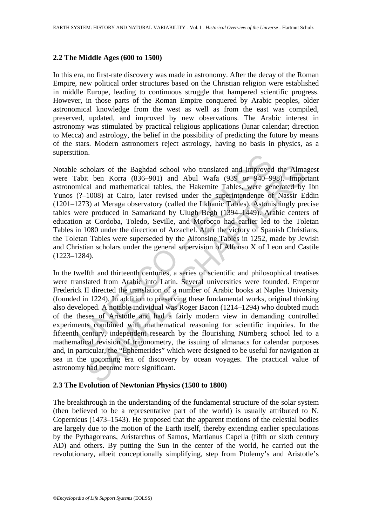### **2.2 The Middle Ages (600 to 1500)**

In this era, no first-rate discovery was made in astronomy. After the decay of the Roman Empire, new political order structures based on the Christian religion were established in middle Europe, leading to continuous struggle that hampered scientific progress. However, in those parts of the Roman Empire conquered by Arabic peoples, older astronomical knowledge from the west as well as from the east was compiled, preserved, updated, and improved by new observations. The Arabic interest in astronomy was stimulated by practical religious applications (lunar calendar; direction to Mecca) and astrology, the belief in the possibility of predicting the future by means of the stars. Modern astronomers reject astrology, having no basis in physics, as a superstition.

uon.<br>
scholars of the Baghdad school who translated and improved<br>
abit ben Korra (836–901) and Abul Wafa (939 or 940–99<br>
mical and mathematical tables, the Hakemite Tables, were get<br>
(?–1008) at Cairo, later revised under Notable scholars of the Baghdad school who translated and improved the Almagest were Tabit ben Korra (836–901) and Abul Wafa (939 or 940–998). Important astronomical and mathematical tables, the Hakemite Tables, were generated by Ibn Yunos (?–1008) at Cairo, later revised under the superintendence of Nassir Eddin (1201–1273) at Meraga observatory (called the Ilkhanic Tables). Astonishingly precise tables were produced in Samarkand by Ulugh Begh (1394–1449). Arabic centers of education at Cordoba, Toledo, Seville, and Morocco had earlier led to the Toletan Tables in 1080 under the direction of Arzachel. After the victory of Spanish Christians, the Toletan Tables were superseded by the Alfonsine Tables in 1252, made by Jewish and Christian scholars under the general supervision of Alfonso X of Leon and Castile (1223–1284).

holars of the Baghdad school who translated and improved the Alma<br>t ben Korra (836-901) and Abul Wafa (939 or 940-998). Impoted<br>the all and mathematical at the Hakemite Tables, we generated by<br>1008) at Cairo, later revised In the twelfth and thirteenth centuries, a series of scientific and philosophical treatises were translated from Arabic into Latin. Several universities were founded. Emperor Frederick II directed the translation of a number of Arabic books at Naples University (founded in 1224). In addition to preserving these fundamental works, original thinking also developed. A notable individual was Roger Bacon (1214–1294) who doubted much of the theses of Aristotle and had a fairly modern view in demanding controlled experiments combined with mathematical reasoning for scientific inquiries. In the fifteenth century, independent research by the flourishing Nürnberg school led to a mathematical revision of trigonometry, the issuing of almanacs for calendar purposes and, in particular, the "Ephemerides" which were designed to be useful for navigation at sea in the upcoming era of discovery by ocean voyages. The practical value of astronomy had become more significant.

### **2.3 The Evolution of Newtonian Physics (1500 to 1800)**

The breakthrough in the understanding of the fundamental structure of the solar system (then believed to be a representative part of the world) is usually attributed to N. Copernicus (1473–1543). He proposed that the apparent motions of the celestial bodies are largely due to the motion of the Earth itself, thereby extending earlier speculations by the Pythagoreans, Aristarchus of Samos, Martianus Capella (fifth or sixth century AD) and others. By putting the Sun in the center of the world, he carried out the revolutionary, albeit conceptionally simplifying, step from Ptolemy's and Aristotle's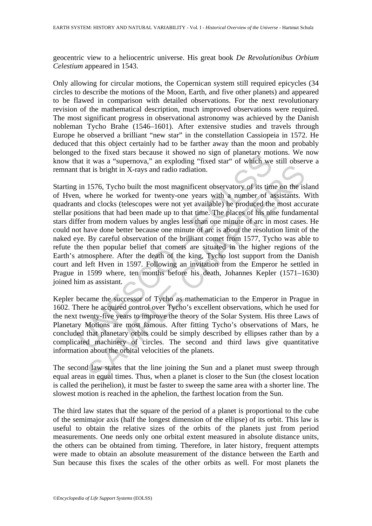geocentric view to a heliocentric universe. His great book *De Revolutionibus Orbium Celestium* appeared in 1543.

Only allowing for circular motions, the Copernican system still required epicycles (34 circles to describe the motions of the Moon, Earth, and five other planets) and appeared to be flawed in comparison with detailed observations. For the next revolutionary revision of the mathematical description, much improved observations were required. The most significant progress in observational astronomy was achieved by the Danish nobleman Tycho Brahe (1546–1601). After extensive studies and travels through Europe he observed a brilliant "new star" in the constellation Cassiopeia in 1572. He deduced that this object certainly had to be farther away than the moon and probably belonged to the fixed stars because it showed no sign of planetary motions. We now know that it was a "supernova," an exploding "fixed star" of which we still observe a remnant that is bright in X-rays and radio radiation.

The unit of the rixed stars because it showed no sign or planetary more in the rixed stars because it superopolary. The that is bright in X-rays and radio radiation.<br>
in 1576, Tycho built the most magnificent observatory o at is bright in X-rays and radio radiation.<br>
1576, Tycho built the most magnificent observatory of its time on the is<br>
where he worked for twenty-one years with a number of assistants. V<br>
and clocks (telescopes were not ye Starting in 1576, Tycho built the most magnificent observatory of its time on the island of Hven, where he worked for twenty-one years with a number of assistants. With quadrants and clocks (telescopes were not yet available) he produced the most accurate stellar positions that had been made up to that time. The places of his nine fundamental stars differ from modern values by angles less than one minute of arc in most cases. He could not have done better because one minute of arc is about the resolution limit of the naked eye. By careful observation of the brilliant comet from 1577, Tycho was able to refute the then popular belief that comets are situated in the higher regions of the Earth's atmosphere. After the death of the king, Tycho lost support from the Danish court and left Hven in 1597. Following an invitation from the Emperor he settled in Prague in 1599 where, ten months before his death, Johannes Kepler (1571–1630) joined him as assistant.

Kepler became the successor of Tycho as mathematician to the Emperor in Prague in 1602. There he acquired control over Tycho's excellent observations, which he used for the next twenty-five years to improve the theory of the Solar System. His three Laws of Planetary Motions are most famous. After fitting Tycho's observations of Mars, he concluded that planetary orbits could be simply described by ellipses rather than by a complicated machinery of circles. The second and third laws give quantitative information about the orbital velocities of the planets.

The second law states that the line joining the Sun and a planet must sweep through equal areas in equal times. Thus, when a planet is closer to the Sun (the closest location is called the perihelion), it must be faster to sweep the same area with a shorter line. The slowest motion is reached in the aphelion, the farthest location from the Sun.

The third law states that the square of the period of a planet is proportional to the cube of the semimajor axis (half the longest dimension of the ellipse) of its orbit. This law is useful to obtain the relative sizes of the orbits of the planets just from period measurements. One needs only one orbital extent measured in absolute distance units, the others can be obtained from timing. Therefore, in later history, frequent attempts were made to obtain an absolute measurement of the distance between the Earth and Sun because this fixes the scales of the other orbits as well. For most planets the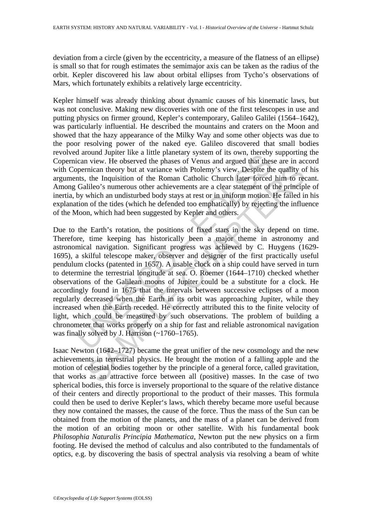deviation from a circle (given by the eccentricity, a measure of the flatness of an ellipse) is small so that for rough estimates the semimajor axis can be taken as the radius of the orbit. Kepler discovered his law about orbital ellipses from Tycho's observations of Mars, which fortunately exhibits a relatively large eccentricity.

Kepler himself was already thinking about dynamic causes of his kinematic laws, but was not conclusive. Making new discoveries with one of the first telescopes in use and putting physics on firmer ground, Kepler's contemporary, Galileo Galilei (1564–1642), was particularly influential. He described the mountains and craters on the Moon and showed that the hazy appearance of the Milky Way and some other objects was due to the poor resolving power of the naked eye. Galileo discovered that small bodies revolved around Jupiter like a little planetary system of its own, thereby supporting the Copernican view. He observed the phases of Venus and argued that these are in accord with Copernican theory but at variance with Ptolemy's view. Despite the quality of his arguments, the Inquisition of the Roman Catholic Church later forced him to recant. Among Galileo's numerous other achievements are a clear statement of the principle of inertia, by which an undisturbed body stays at rest or in uniform motion. He failed in his explanation of the tides (which he defended too emphatically) by rejecting the influence of the Moon, which had been suggested by Kepler and others.

and a Jupiter like a title planted y system of its own, thereby<br>cican view. He observed the phases of Venus and argued that these<br>original theory but at variance with Ptolemy's view. Despite the<br>this, the Inquisition of th incian theory but at variance with Ptolemy's view. Despite the quality of the Inquisition of the Roman Catholic Church later forced him to reduce o's numerous other achievements are aclear statement of the principle o's h Due to the Earth's rotation, the positions of fixed stars in the sky depend on time. Therefore, time keeping has historically been a major theme in astronomy and astronomical navigation. Significant progress was achieved by C. Huygens (1629- 1695), a skilful telescope maker, observer and designer of the first practically useful pendulum clocks (patented in 1657). A usable clock on a ship could have served in turn to determine the terrestrial longitude at sea. O. Roemer (1644–1710) checked whether observations of the Galilean moons of Jupiter could be a substitute for a clock. He accordingly found in 1675 that the intervals between successive eclipses of a moon regularly decreased when the Earth in its orbit was approaching Jupiter, while they increased when the Earth receded. He correctly attributed this to the finite velocity of light, which could be measured by such observations. The problem of building a chronometer that works properly on a ship for fast and reliable astronomical navigation was finally solved by J. Harrison (~1760–1765).

Isaac Newton (1642–1727) became the great unifier of the new cosmology and the new achievements in terrestrial physics. He brought the motion of a falling apple and the motion of celestial bodies together by the principle of a general force, called gravitation, that works as an attractive force between all (positive) masses. In the case of two spherical bodies, this force is inversely proportional to the square of the relative distance of their centers and directly proportional to the product of their masses. This formula could then be used to derive Kepler's laws, which thereby became more useful because they now contained the masses, the cause of the force. Thus the mass of the Sun can be obtained from the motion of the planets, and the mass of a planet can be derived from the motion of an orbiting moon or other satellite. With his fundamental book *Philosophia Naturalis Principia Mathematica*, Newton put the new physics on a firm footing. He devised the method of calculus and also contributed to the fundamentals of optics, e.g. by discovering the basis of spectral analysis via resolving a beam of white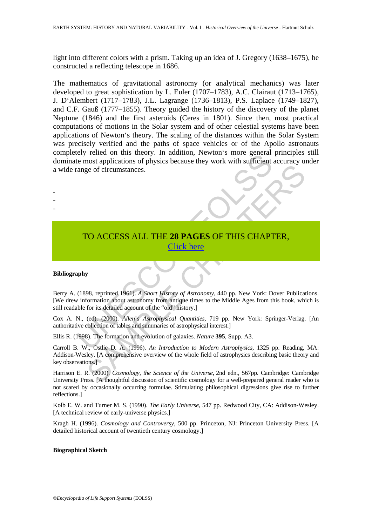light into different colors with a prism. Taking up an idea of J. Gregory (1638–1675), he constructed a reflecting telescope in 1686.

The most applications of physics because they work with sufficient<br>te most applications of physics because they work with sufficient<br>ange of circumstances.<br>To ACCESS ALL THE 28 PAGES [O](https://www.eolss.net/ebooklib/sc_cart.aspx?File=E1-01-01-01)F THIS CHAPT<br>click here<br>apply<br>the for The mathematics of gravitational astronomy (or analytical mechanics) was later developed to great sophistication by L. Euler (1707–1783), A.C. Clairaut (1713–1765), J. D'Alembert (1717–1783), J.L. Lagrange (1736–1813), P.S. Laplace (1749–1827), and C.F. Gauß (1777–1855). Theory guided the history of the discovery of the planet Neptune (1846) and the first asteroids (Ceres in 1801). Since then, most practical computations of motions in the Solar system and of other celestial systems have been applications of Newton's theory. The scaling of the distances within the Solar System was precisely verified and the paths of space vehicles or of the Apollo astronauts completely relied on this theory. In addition, Newton's more general principles still dominate most applications of physics because they work with sufficient accuracy under a wide range of circumstances.

# TO ACCESS ALL THE **28 PAGES** OF THIS CHAPTER, Click here

#### **Bibliography**

- - -

ege of circumstances.<br>
CO ACCESS ALL THE 28 PAGES OF THIS CHAPTER,<br>
SA reprinted 1961). A Short History of Astronomy, 440 pp. New York: Dover Publication<br>
of the steaded account of the "old" history.]<br>
(ed) (2000). Allen's Berry A. (1898, reprinted 1961). *A Short History of Astronomy*, 440 pp. New York: Dover Publications. [We drew information about astronomy from antique times to the Middle Ages from this book, which is still readable for its detailed account of the "old" history.]

Cox A. N., (ed). (2000). *Allen*'*s Astrophysical Quantities,* 719 pp. New York: Springer-Verlag. [An authoritative collection of tables and summaries of astrophysical interest.]

Ellis R. (1998). The formation and evolution of galaxies. *Nature* **395**, Supp. A3.

Carroll B. W., Ostlie D. A. (1996). *An Introduction to Modern Astrophysics*, 1325 pp. Reading, MA: Addison-Wesley. [A comprehensive overview of the whole field of astrophysics describing basic theory and key observations.]

Harrison E. R. (2000). *Cosmology, the Science of the Universe*, 2nd edn., 567pp. Cambridge: Cambridge University Press. [A thoughtful discussion of scientific cosmology for a well-prepared general reader who is not scared by occasionally occurring formulae. Stimulating philosophical digressions give rise to further reflections.]

Kolb E. W. and Turner M. S. (1990). *The Early Universe*, 547 pp. Redwood City, CA: Addison-Wesley. [A technical review of early-universe physics.]

Kragh H. (1996). *Cosmology and Controversy*, 500 pp. Princeton, NJ: Princeton University Press. [A detailed historical account of twentieth century cosmology.]

#### **Biographical Sketch**